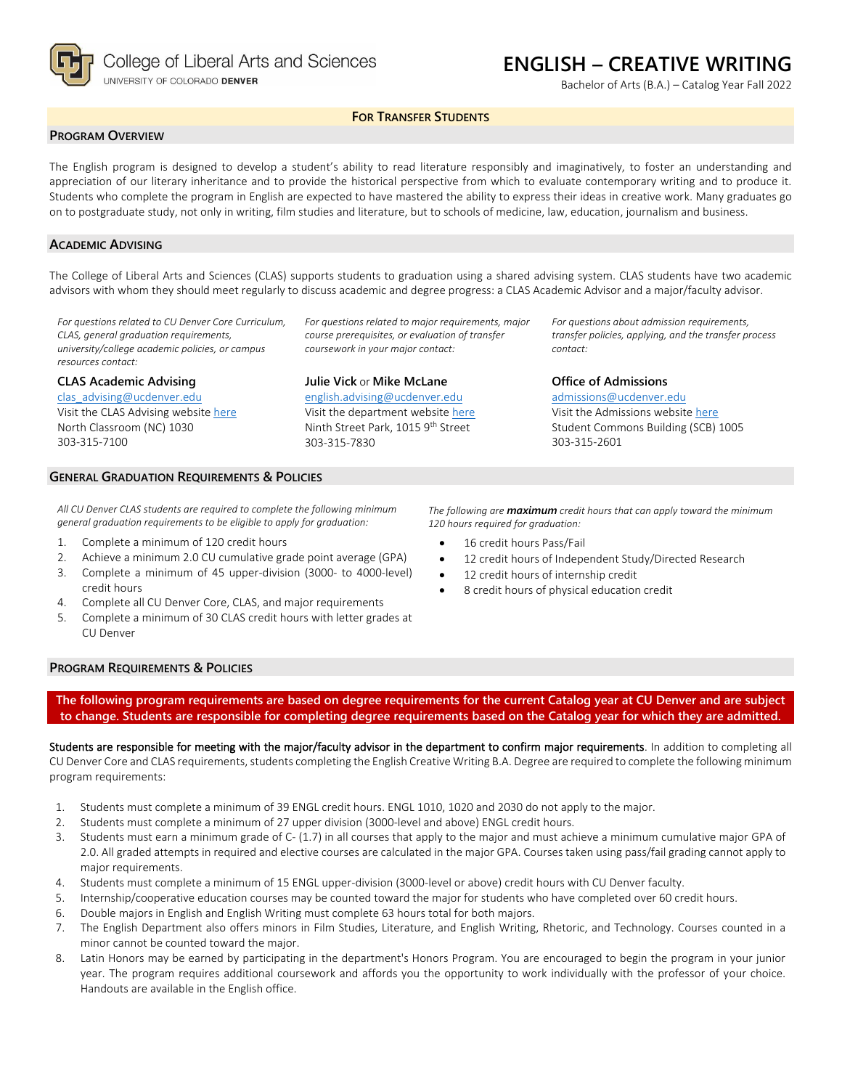

Bachelor of Arts (B.A.) – Catalog Year Fall 2022

### **FOR TRANSFER STUDENTS**

#### **PROGRAM OVERVIEW**

The English program is designed to develop a student's ability to read literature responsibly and imaginatively, to foster an understanding and appreciation of our literary inheritance and to provide the historical perspective from which to evaluate contemporary writing and to produce it. Students who complete the program in English are expected to have mastered the ability to express their ideas in creative work. Many graduates go on to postgraduate study, not only in writing, film studies and literature, but to schools of medicine, law, education, journalism and business.

#### **ACADEMIC ADVISING**

The College of Liberal Arts and Sciences (CLAS) supports students to graduation using a shared advising system. CLAS students have two academic advisors with whom they should meet regularly to discuss academic and degree progress: a CLAS Academic Advisor and a major/faculty advisor.

> *For questions related to major requirements, major course prerequisites, or evaluation of transfer coursework in your major contact:*

*For questions related to CU Denver Core Curriculum, CLAS, general graduation requirements, university/college academic policies, or campus resources contact:*

**CLAS Academic Advising**

[clas\\_advising@ucdenver.edu](mailto:clas_advising@ucdenver.edu) Visit the CLAS Advising websit[e here](https://clas.ucdenver.edu/advising/) North Classroom (NC) 1030 303-315-7100

# **Julie Vick** or **Mike McLane**

[english.advising@ucdenver.edu](mailto:english.advising@ucdenver.edu) Visit the department website [here](https://clas.ucdenver.edu/english/english-creative-writing) Ninth Street Park, 1015 9th Street 303-315-7830

*For questions about admission requirements, transfer policies, applying, and the transfer process contact:*

#### **Office of Admissions**

[admissions@ucdenver.edu](mailto:admissions@ucdenver.edu) Visit the Admissions website [here](http://www.ucdenver.edu/admissions/Pages/index.aspx) Student Commons Building (SCB) 1005 303-315-2601

#### **GENERAL GRADUATION REQUIREMENTS & POLICIES**

*All CU Denver CLAS students are required to complete the following minimum general graduation requirements to be eligible to apply for graduation:*

- 1. Complete a minimum of 120 credit hours
- 2. Achieve a minimum 2.0 CU cumulative grade point average (GPA)
- 3. Complete a minimum of 45 upper-division (3000- to 4000-level) credit hours
- 4. Complete all CU Denver Core, CLAS, and major requirements
- 5. Complete a minimum of 30 CLAS credit hours with letter grades at CU Denver

*The following are maximum credit hours that can apply toward the minimum 120 hours required for graduation:*

- 16 credit hours Pass/Fail
- 12 credit hours of Independent Study/Directed Research
- 12 credit hours of internship credit
- 8 credit hours of physical education credit

#### **PROGRAM REQUIREMENTS & POLICIES**

**The following program requirements are based on degree requirements for the current Catalog year at CU Denver and are subject to change. Students are responsible for completing degree requirements based on the Catalog year for which they are admitted.**

Students are responsible for meeting with the major/faculty advisor in the department to confirm major requirements. In addition to completing all CU Denver Core and CLAS requirements, students completing the English Creative Writing B.A. Degree are required to complete the following minimum program requirements:

- 1. Students must complete a minimum of 39 ENGL credit hours. ENGL 1010, 1020 and 2030 do not apply to the major.
- 2. Students must complete a minimum of 27 upper division (3000-level and above) ENGL credit hours.
- 3. Students must earn a minimum grade of C- (1.7) in all courses that apply to the major and must achieve a minimum cumulative major GPA of 2.0. All graded attempts in required and elective courses are calculated in the major GPA. Courses taken using pass/fail grading cannot apply to major requirements.
- 4. Students must complete a minimum of 15 ENGL upper-division (3000-level or above) credit hours with CU Denver faculty.
- 5. Internship/cooperative education courses may be counted toward the major for students who have completed over 60 credit hours.
- 6. Double majors in English and English Writing must complete 63 hours total for both majors.
- 7. The English Department also offers minors in Film Studies, Literature, and English Writing, Rhetoric, and Technology. Courses counted in a minor cannot be counted toward the major.
- 8. Latin Honors may be earned by participating in the department's Honors Program. You are encouraged to begin the program in your junior year. The program requires additional coursework and affords you the opportunity to work individually with the professor of your choice. Handouts are available in the English office.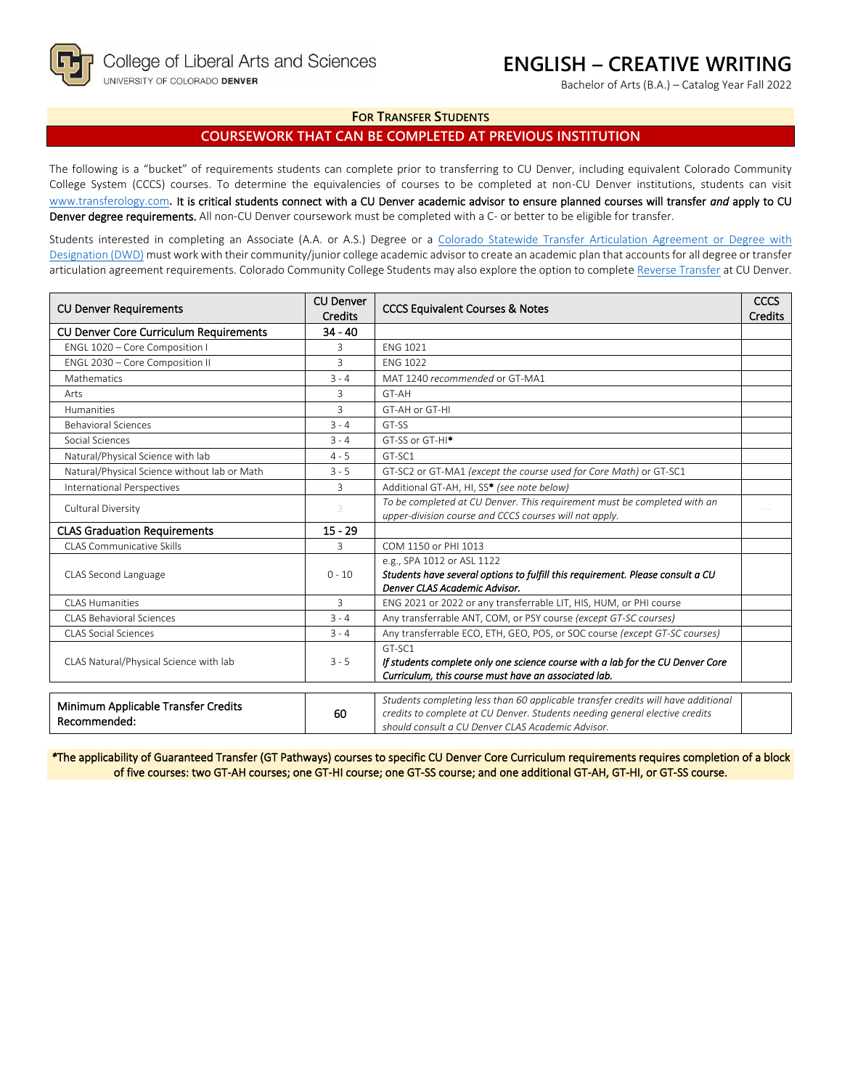Bachelor of Arts (B.A.) – Catalog Year Fall 2022

#### **FOR TRANSFER STUDENTS**

# **COURSEWORK THAT CAN BE COMPLETED AT PREVIOUS INSTITUTION**

The following is a "bucket" of requirements students can complete prior to transferring to CU Denver, including equivalent Colorado Community College System (CCCS) courses. To determine the equivalencies of courses to be completed at non-CU Denver institutions, students can visit [www.transferology.com](http://www.transferology.com/)**.** It is critical students connect with a CU Denver academic advisor to ensure planned courses will transfer *and* apply to CU Denver degree requirements. All non-CU Denver coursework must be completed with a C- or better to be eligible for transfer.

Students interested in completing an Associate (A.A. or A.S.) Degree or a Colorado Statewide Transfer Articulation Agreement or Degree with [Designation \(DWD\)](https://highered.colorado.gov/transfer-degrees) must work with their community/junior college academic advisor to create an academic plan that accounts for all degree or transfer articulation agreement requirements. Colorado Community College Students may also explore the option to complet[e Reverse Transfer](https://highered.colorado.gov/students/attending-college/colorado-reverse-transfer) at CU Denver.

| <b>CU Denver</b><br><b>CU Denver Requirements</b><br><b>Credits</b> |                | <b>CCCS Equivalent Courses &amp; Notes</b>                                                                                                                                                                            |  |
|---------------------------------------------------------------------|----------------|-----------------------------------------------------------------------------------------------------------------------------------------------------------------------------------------------------------------------|--|
| <b>CU Denver Core Curriculum Requirements</b>                       | $34 - 40$      |                                                                                                                                                                                                                       |  |
| ENGL 1020 - Core Composition I                                      | 3              | <b>ENG 1021</b>                                                                                                                                                                                                       |  |
| ENGL 2030 - Core Composition II                                     | $\overline{3}$ | <b>FNG 1022</b>                                                                                                                                                                                                       |  |
| Mathematics                                                         | $3 - 4$        | MAT 1240 recommended or GT-MA1                                                                                                                                                                                        |  |
| Arts                                                                | 3              | GT-AH                                                                                                                                                                                                                 |  |
| <b>Humanities</b>                                                   | 3              | GT-AH or GT-HI                                                                                                                                                                                                        |  |
| <b>Behavioral Sciences</b>                                          | $3 - 4$        | GT-SS                                                                                                                                                                                                                 |  |
| Social Sciences                                                     | $3 - 4$        | GT-SS or GT-HI <sup>*</sup>                                                                                                                                                                                           |  |
| Natural/Physical Science with lab                                   | $4 - 5$        | GT-SC1                                                                                                                                                                                                                |  |
| Natural/Physical Science without lab or Math                        | $3 - 5$        | GT-SC2 or GT-MA1 (except the course used for Core Math) or GT-SC1                                                                                                                                                     |  |
| <b>International Perspectives</b>                                   | 3              | Additional GT-AH, HI, SS* (see note below)                                                                                                                                                                            |  |
| Cultural Diversity                                                  | 3              | To be completed at CU Denver. This requirement must be completed with an<br>upper-division course and CCCS courses will not apply.                                                                                    |  |
| <b>CLAS Graduation Requirements</b>                                 | $15 - 29$      |                                                                                                                                                                                                                       |  |
| CLAS Communicative Skills                                           | 3              | COM 1150 or PHI 1013                                                                                                                                                                                                  |  |
| CLAS Second Language                                                | $0 - 10$       | e.g., SPA 1012 or ASL 1122<br>Students have several options to fulfill this requirement. Please consult a CU<br>Denver CLAS Academic Advisor.                                                                         |  |
| CLAS Humanities                                                     | 3              | ENG 2021 or 2022 or any transferrable LIT, HIS, HUM, or PHI course                                                                                                                                                    |  |
| <b>CLAS Behavioral Sciences</b>                                     | $3 - 4$        | Any transferrable ANT, COM, or PSY course (except GT-SC courses)                                                                                                                                                      |  |
| <b>CLAS Social Sciences</b>                                         | $3 - 4$        | Any transferrable ECO, ETH, GEO, POS, or SOC course (except GT-SC courses)                                                                                                                                            |  |
| CLAS Natural/Physical Science with lab                              | $3 - 5$        | GT-SC1<br>If students complete only one science course with a lab for the CU Denver Core<br>Curriculum, this course must have an associated lab.                                                                      |  |
| Minimum Applicable Transfer Credits<br>Recommended:                 | 60             | Students completing less than 60 applicable transfer credits will have additional<br>credits to complete at CU Denver. Students needing general elective credits<br>should consult a CU Denver CLAS Academic Advisor. |  |

*\**The applicability of Guaranteed Transfer (GT Pathways) courses to specific CU Denver Core Curriculum requirements requires completion of a block of five courses: two GT-AH courses; one GT-HI course; one GT-SS course; and one additional GT-AH, GT-HI, or GT-SS course.